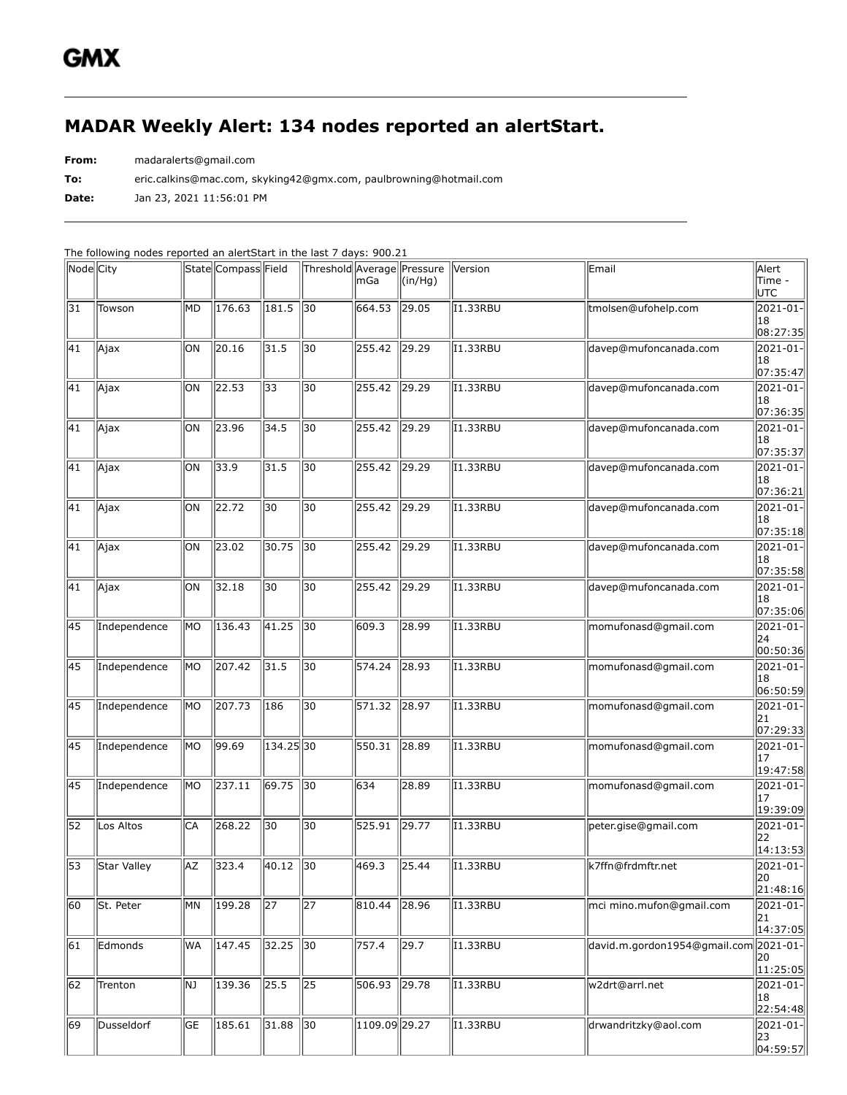## **MADAR Weekly Alert: 134 nodes reported an alertStart.**

**From:** madaralerts@gmail.com

**To:** eric.calkins@mac.com, skyking42@gmx.com, paulbrowning@hotmail.com

**Date:** Jan 23, 2021 11:56:01 PM

The following nodes reported an alertStart in the last 7 days: 900.21

| Node City       |              |           | State Compass Field |                 | Threshold Average Pressure | lmGa                | $(\text{in}/\text{Hg})$ | Version                | Email                        | Alert<br>Time -<br>UTC            |
|-----------------|--------------|-----------|---------------------|-----------------|----------------------------|---------------------|-------------------------|------------------------|------------------------------|-----------------------------------|
| $\overline{31}$ | Towson       | lмd       | 176.63              | 181.5           | $\sqrt{30}$                | 664.53              | 29.05                   | 11.33RBU               | tmolsen@ufohelp.com          | 2021-01-<br>18<br> 08:27:35       |
| 41              | Ajax         | ЮN        | 20.16               | 31.5            | 30                         | $\overline{255.42}$ | 29.29                   | I1.33RBU               | davep@mufoncanada.com        | 2021-01-<br>18<br>07:35:47        |
| 41              | Ajax         | ЮN        | 22.53               | 33              | 30                         | 255.42              | 29.29                   | 11.33RBU               | davep@mufoncanada.com        | 2021-01-<br>18<br> 07:36:35       |
| 41              | Ajax         | ЮN        | $\sqrt{23.96}$      | 34.5            | 30                         | 255.42              | 29.29                   | I1.33RBU               | davep@mufoncanada.com        | 2021-01-<br>18<br> 07:35:37       |
| 41              | Ajax         | ЮN        | 33.9                | 31.5            | $\overline{30}$            | 255.42              | $\sqrt{29.29}$          | 11.33RBU               | davep@mufoncanada.com        | 2021-01-<br>18<br>07:36:21        |
| 41              | Ajax         | ЮN        | $\sqrt{22.72}$      | $\overline{30}$ | $\overline{30}$            | 255.42              | $\sqrt{29.29}$          | <b>I1.33RBU</b>        | davep@mufoncanada.com        | 2021-01-<br>18<br> 07:35:18       |
| 41              | Ajax         | ЮN        | 23.02               | 30.75           | $\sqrt{30}$                | 255.42              | $\sqrt{29.29}$          | I1.33RBU               | davep@mufoncanada.com        | 2021-01-<br>18<br>07:35:58        |
| 41              | Ajax         | lоn       | 32.18               | 30              | 30                         | 255.42              | 29.29                   | 11.33RBU               | davep@mufoncanada.com        | 2021-01-<br>18<br> 07:35:06       |
| 45              | Independence | lmo       | $\sqrt{136.43}$     | $\sqrt{41.25}$  | $\sqrt{30}$                | 609.3               | 28.99                   | <b>I1.33RBU</b>        | momufonasd@gmail.com         | 2021-01-<br>24<br> 00:50:36       |
| 45              | Independence | lмo       | $\sqrt{207.42}$     | 31.5            | $\overline{30}$            | 574.24              | $\sqrt{28.93}$          | I1.33RBU               | momufonasd@gmail.com         | 2021-01-<br>18<br> 06:50:59       |
| 45              | Independence | MО        | 207.73              | 186             | 30                         | 571.32              | 28.97                   | I1.33RBU               | momufonasd@gmail.com         | 2021-01-<br>21<br> 07:29:33       |
| 45              | Independence | MО        | 99.69               | $134.25$ 30     |                            | 550.31              | 28.89                   | I1.33RBU               | momufonasd@gmail.com         | 2021-01-<br>17<br> 19:47:58       |
| 45              | Independence | MО        | 237.11              | $69.75$ 30      |                            | 634                 | 28.89                   | I1.33RBU               | momufonasd@gmail.com         | 2021-01-<br>17<br>19:39:09        |
| 52              | Los Altos    | CA        | 268.22              | $\overline{30}$ | $\overline{30}$            | 525.91              | $\sqrt{29.77}$          | 11.33RBU               | peter.gise@gmail.com         | 2021-01-<br>22<br>14:13:53        |
| 53              | Star Valley  | <b>AZ</b> | 323.4               | 40.12           | 30                         | 469.3               | 25.44                   | I1.33RBU               | k7ffn@frdmftr.net            | 2021-01-<br>  20<br>  21:48:16    |
| 60              | St. Peter    | lмn       | 199.28              | $\sqrt{27}$     | 27                         | 810.44              | 28.96                   | $\overline{11}$ .33RBU | mci mino.mufon@gmail.com     | 2021-01-<br>21<br> 14:37:05       |
| 61              | Edmonds      | WA        | 147.45              | 32.25           | $\sqrt{30}$                | 757.4               | 29.7                    | 11.33RBU               | david.m.gordon1954@gmail.com | 2021-01-<br>20<br>11:25:05        |
| 62              | Trenton      | NJ.       | 139.36              | 25.5            | $\sqrt{25}$                | 506.93              | $\sqrt{29.78}$          | I1.33RBU               | w2drt@arrl.net               | $ 2021 - 01 -$<br>18<br>22:54:48  |
| 69              | Dusseldorf   | <b>GE</b> | $\sqrt{185.61}$     | 31.88           | $\sqrt{30}$                | 1109.09 29.27       |                         | <b>I1.33RBU</b>        | drwandritzky@aol.com         | $ 2021 - 01 -$<br>23<br> 04:59:57 |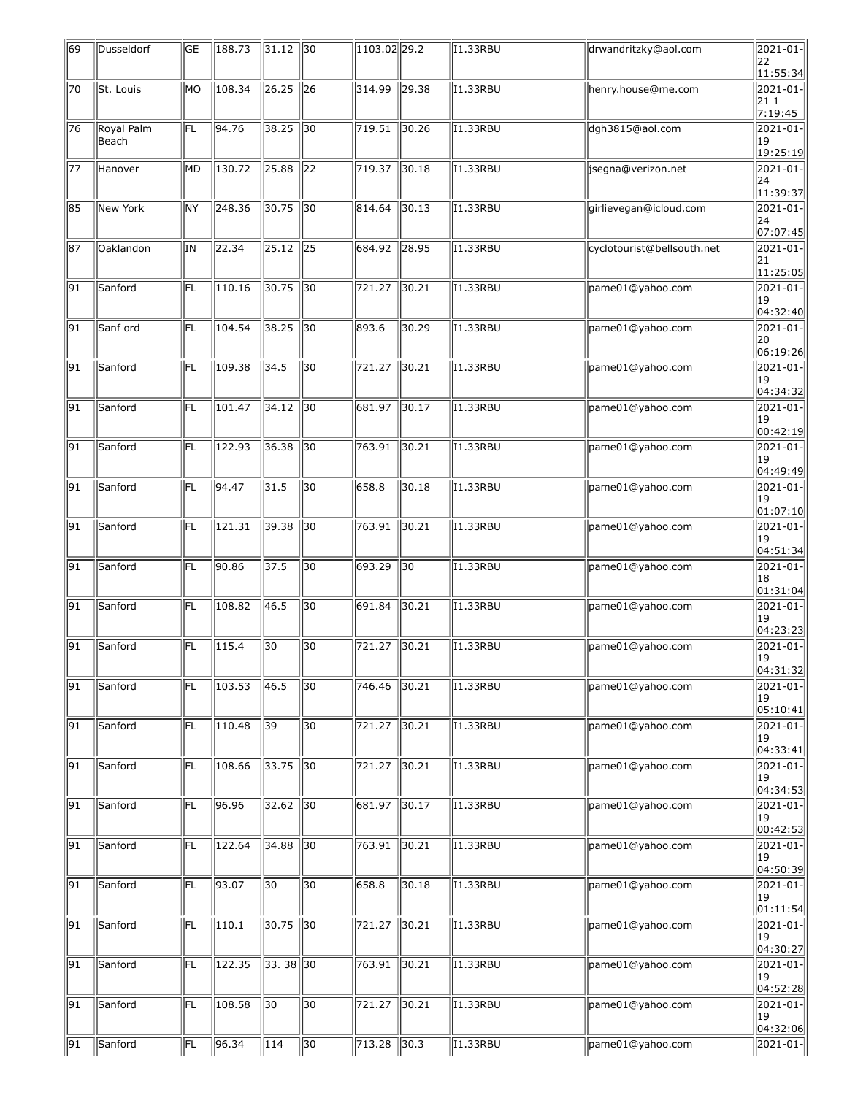| 69              | Dusseldorf          | GE              | 188.73 | $31.12$ 30     |                 | $1103.02$ <sub>29.2</sub> |                 | II.33RBU               | drwandritzky@aol.com       | 2021-01-<br>22                      |
|-----------------|---------------------|-----------------|--------|----------------|-----------------|---------------------------|-----------------|------------------------|----------------------------|-------------------------------------|
|                 |                     |                 |        |                |                 |                           |                 |                        |                            | 11:55:34                            |
| 70              | St. Louis           | lмo             | 108.34 | 26.25          | $\sqrt{26}$     | 314.99                    | 29.38           | <b>I1.33RBU</b>        | henry.house@me.com         | 2021-01-<br>211<br>7:19:45          |
| 76              | Royal Palm<br>Beach | FL              | 94.76  | 38.25          | $\parallel$ 30  | 719.51                    | 30.26           | I1.33RBU               | dgh3815@aol.com            | 2021-01-<br> 19<br>19:25:19         |
| 77              | Hanover             | МD              | 130.72 | 25.88          | 22              | 719.37                    | 30.18           | I1.33RBU               | jsegna@verizon.net         | 2021-01-<br>24<br> 11:39:37         |
| 85              | New York            | lΝY             | 248.36 | 30.75          | $\sqrt{30}$     | 814.64                    | 30.13           | 11.33RBU               | girlievegan@icloud.com     | 2021-01-<br>24                      |
| 87              | Oaklandon           | IN              | 22.34  | $\sqrt{25.12}$ | $\sqrt{25}$     | 684.92                    | 28.95           | I1.33RBU               | cyclotourist@bellsouth.net | 07:07:45<br>2021-01-<br>21          |
| 91              | Sanford             | FL              | 110.16 | 30.75          | $\parallel$ 30  | 721.27                    | 30.21           | I1.33RBU               | pame01@yahoo.com           | 11:25:05<br>$ 2021 - 01 -$<br> 19   |
| 91              | Sanf ord            | FL              | 104.54 | 38.25          | 30              | 893.6                     | 30.29           | $\overline{11}$ .33RBU | pame01@yahoo.com           | 04:32:40 <br>2021-01-<br>20         |
| 91              | Sanford             | lfL.            | 109.38 | 34.5           | $\overline{30}$ | 721.27                    | 30.21           | <b>I1.33RBU</b>        | pame01@yahoo.com           | 06:19:26 <br>2021-01-<br>19         |
| 91              | Sanford             | lfL             | 101.47 | 34.12          | $\sqrt{30}$     | 681.97                    | 30.17           | 11.33RBU               | pame01@yahoo.com           | 04:34:32 <br>2021-01-<br>19         |
| 91              | Sanford             | FL              | 122.93 | 36.38          | 30              | 763.91                    | 30.21           | <b>I1.33RBU</b>        | pame01@yahoo.com           | 00:42:19<br>2021-01-<br>19          |
| 91              | Sanford             | FL              | 94.47  | 31.5           | 30              | 658.8                     | 30.18           | I1.33RBU               | pame01@yahoo.com           | 04:49:49 <br>$ 2021 - 01 -$<br> 19  |
| 91              | Sanford             | FL              | 121.31 | 39.38          | 30              | 763.91                    | 30.21           | $\overline{11}$ .33RBU | pame01@yahoo.com           | 01:07:10 <br>2021-01-<br>19         |
| 91              | Sanford             | lfL.            | 90.86  | 37.5           | $\overline{30}$ | 693.29                    | $\overline{30}$ | <b>I1.33RBU</b>        | pame01@yahoo.com           | 04:51:34<br>$2021 - 01$<br>18       |
| 91              | Sanford             | FL              | 108.82 | 46.5           | $\overline{30}$ | 691.84                    | 30.21           | 11.33RBU               | pame01@yahoo.com           | 01:31:04 <br>2021-01-<br>19         |
| 91              | Sanford             | FL              | 115.4  | 30             | 30              | 721.27                    | 30.21           | <b>I1.33RBU</b>        | pame01@yahoo.com           | 04:23:23 <br>$ 2021 - 01 -$<br>  19 |
| 91              | Sanford             | FL              | 103.53 | $\vert$ 46.5   | 30              | $\sqrt{746.46}$           | 30.21           | $\overline{11}$ .33RBU | pame01@yahoo.com           | 04:31:32 <br>2021-01-<br> 19        |
| 91              | Sanford             | FL              | 110.48 | $\sqrt{39}$    | $\overline{30}$ | 721.27                    | 30.21           | I1.33RBU               | pame01@yahoo.com           | 05:10:41<br>2021-01-<br> 19         |
| 91              | Sanford             | FL              | 108.66 | 33.75          | $\sqrt{30}$     | 721.27                    | 30.21           | 11.33RBU               | pame01@yahoo.com           | 04:33:41<br>2021-01-<br> 19         |
| 91              | Sanford             | lfL.            | 96.96  | 32.62          | $\sqrt{30}$     | 681.97                    | 30.17           | 11.33RBU               | pame01@yahoo.com           | 04:34:53<br>2021-01-<br>19          |
| 91              | Sanford             | FL              | 122.64 | 34.88          | $\parallel$ 30  | 763.91                    | 30.21           | I1.33RBU               | pame01@yahoo.com           | 00:42:53 <br>2021-01-<br>19         |
| 91              | Sanford             | FL              | 93.07  | 30             | 30              | 658.8                     | 30.18           | I1.33RBU               | pame01@yahoo.com           | 04:50:39 <br>2021-01-<br>19         |
| 91              | Sanford             | FL              | 110.1  | 30.75          | $\sqrt{30}$     | 721.27                    | 30.21           | I1.33RBU               | pame01@yahoo.com           | 01:11:54<br>2021-01-<br> 19         |
| 91              | Sanford             | FL              | 122.35 | $33.38$ 30     |                 | 763.91                    | 30.21           | 11.33RBU               | pame01@yahoo.com           | 04:30:27 <br>$ 2021 - 01 -$<br> 19  |
| 91              | Sanford             | lfL.            | 108.58 | 30             | $ 30\rangle$    | 721.27                    | 30.21           | 11.33RBU               | pame01@yahoo.com           | 04:52:28 <br>2021-01-<br>19         |
| $\overline{91}$ | Sanford             | $ \mathsf{FL} $ | 96.34  | $\vert$ 114    | $\sqrt{30}$     | $\sqrt{713.28}$           | 30.3            | I1.33RBU               | pame01@yahoo.com           | 04:32:06 <br>$ 2021 - 01 -$         |
|                 |                     |                 |        |                |                 |                           |                 |                        |                            |                                     |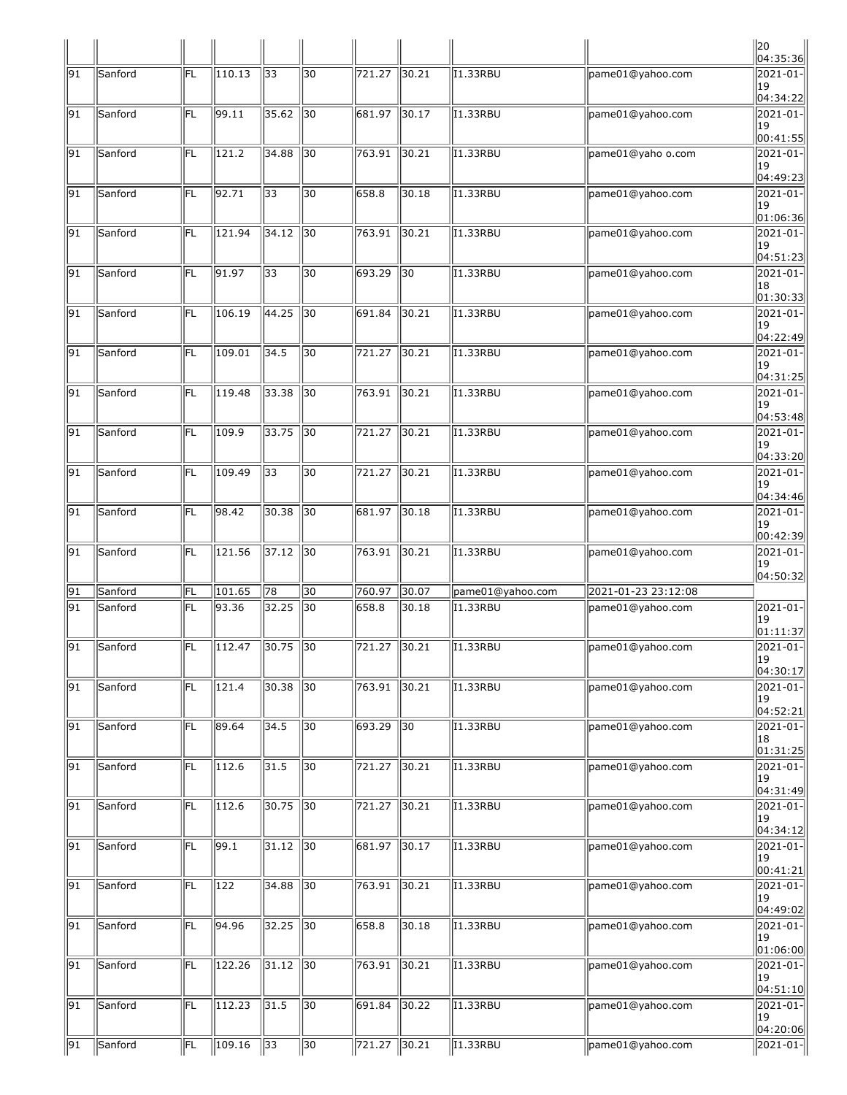|                 |                |           |        |                |                 |                     |                |                       |                     | $\parallel$ 20<br> 04:35:36             |
|-----------------|----------------|-----------|--------|----------------|-----------------|---------------------|----------------|-----------------------|---------------------|-----------------------------------------|
| 91              | <b>Sanford</b> | FL        | 110.13 | 33             | 30              | 721.27              | $\vert$ 30.21  | I1.33RBU              | pame01@yahoo.com    | 2021-01-<br> 19<br>04:34:22             |
| 91              | Sanford        | lfl       | 99.11  | 35.62          | $\sqrt{30}$     | 681.97              | 30.17          | <b>I1.33RBU</b>       | pame01@yahoo.com    | 2021-01-<br>19<br> 00:41:55             |
| 91              | Sanford        | IFL       | 121.2  | 34.88          | $\overline{30}$ | 763.91              | 30.21          | I1.33RBU              | pame01@yaho o.com   | 2021-01-<br>19<br> 04:49:23             |
| 91              | Sanford        | FL        | 92.71  | 33             | 30              | 658.8               | 30.18          | 11.33RBU              | pame01@yahoo.com    | 2021-01-<br>19<br> 01:06:36             |
| 91              | Sanford        | FL        | 121.94 | 34.12          | 30              | 763.91              | $\sqrt{30.21}$ | I1.33RBU              | pame01@yahoo.com    | $ 2021 - 01 -$<br> 19<br>04:51:23       |
| 91              | Sanford        | FL        | 91.97  | 33             | $\overline{30}$ | 693.29              | $\sqrt{30}$    | I1.33RBU              | pame01@yahoo.com    | 2021-01-<br>18                          |
| 91              | Sanford        | lfL       | 106.19 | 44.25          | $\overline{30}$ | 691.84              | 30.21          | <b>I1.33RBU</b>       | pame01@yahoo.com    | 01:30:33<br>2021-01-<br> 19<br>04:22:49 |
| 91              | Sanford        | lfL       | 109.01 | 34.5           | 30              | 721.27              | $\vert$ 30.21  | I1.33RBU              | pame01@yahoo.com    | 2021-01-<br>19<br> 04:31:25             |
| 91              | Sanford        | FL        | 119.48 | 33.38          | 30              | $\overline{763.91}$ | 30.21          | $\overline{11.33RBU}$ | pame01@yahoo.com    | $2021 - 01$<br>19<br> 04:53:48          |
| 91              | Sanford        | FL        | 109.9  | 33.75          | $\sqrt{30}$     | 721.27              | 30.21          | I1.33RBU              | pame01@yahoo.com    | $ 2021 - 01 -$<br> 19<br>04:33:20       |
| 91              | Sanford        | FL        | 109.49 | 33             | $\overline{30}$ | 721.27              | 30.21          | <b>I1.33RBU</b>       | pame01@yahoo.com    | 2021-01-<br> 19<br>04:34:46             |
| 91              | Sanford        | lfL       | 98.42  | 30.38          | $\overline{30}$ | 681.97              | 30.18          | I1.33RBU              | pame01@yahoo.com    | 2021-01-<br> 19<br> 00:42:39            |
| 91              | Sanford        | <b>FL</b> | 121.56 | $\sqrt{37.12}$ | 30              | 763.91              | 30.21          | I1.33RBU              | pame01@yahoo.com    | 2021-01-<br>19<br> 04:50:32             |
| 91              | Sanford        | FL        | 101.65 | 78             | $\overline{30}$ | 760.97              | 30.07          | pame01@yahoo.com      | 2021-01-23 23:12:08 |                                         |
| 91              | Sanford        | FL.       | 93.36  | 32.25          | $\sqrt{30}$     | 658.8               | 30.18          | I1.33RBU              | pame01@yahoo.com    | 2021-01-<br>  19<br> 01:11:37           |
| 91              | Sanford        | FL        | 112.47 | $30.75$ 30     |                 | 721.27              | 30.21          | I1.33RBU              | pame01@yahoo.com    | $ 2021 - 01 -$<br>19.<br> 04:30:17      |
| $\overline{91}$ | Sanford        | FL        | 121.4  | 30.38          | $\sqrt{30}$     | 763.91              | 30.21          | I1.33RBU              | pame01@yahoo.com    | $ 2021 - 01 -$<br>19<br>04:52:21        |
| 91              | Sanford        | FL        | 89.64  | 34.5           | 30              | 693.29              | $\sqrt{30}$    | I1.33RBU              | pame01@yahoo.com    | $ 2021 - 01 -$<br> 18<br>01:31:25       |
| 91              | Sanford        | FL.       | 112.6  | 31.5           | $\overline{30}$ | 721.27              | 30.21          | I1.33RBU              | pame01@yahoo.com    | 2021-01-<br>19<br> 04:31:49             |
| $\overline{91}$ | Sanford        | FL        | 112.6  | 30.75          | $\sqrt{30}$     | $\overline{721.27}$ | 30.21          | I1.33RBU              | pame01@yahoo.com    | $ 2021 - 01 -$<br> 19<br> 04:34:12      |
| 91              | Sanford        | FL        | 99.1   | $31.12$ 30     |                 | 681.97              | 30.17          | 11.33RBU              | pame01@yahoo.com    | 2021-01-<br>19<br> 00:41:21             |
| 91              | Sanford        | FL        | 122    | 34.88          | $\sqrt{30}$     | 763.91              | 30.21          | I1.33RBU              | pame01@yahoo.com    | $ 2021 - 01 -$<br>19<br> 04:49:02       |
| 91              | Sanford        | <b>FL</b> | 94.96  | $32.25$ 30     |                 | 658.8               | 30.18          | I1.33RBU              | pame01@yahoo.com    | $ 2021 - 01 -$<br>19<br> 01:06:00       |
| 91              | Sanford        | FL        | 122.26 | $31.12$ 30     |                 | 763.91              | 30.21          | I1.33RBU              | pame01@yahoo.com    | 2021-01-<br>19<br> 04:51:10             |
| 91              | Sanford        | FL        | 112.23 | 31.5           | $\sqrt{30}$     | 691.84              | 30.22          | I1.33RBU              | pame01@yahoo.com    | 2021-01-<br> 19<br>04:20:06             |
| $\sqrt{91}$     | Sanford        | FL        | 109.16 | $\sqrt{33}$    | 30              | 721.27              | 30.21          | I1.33RBU              | pame01@yahoo.com    | 2021-01-                                |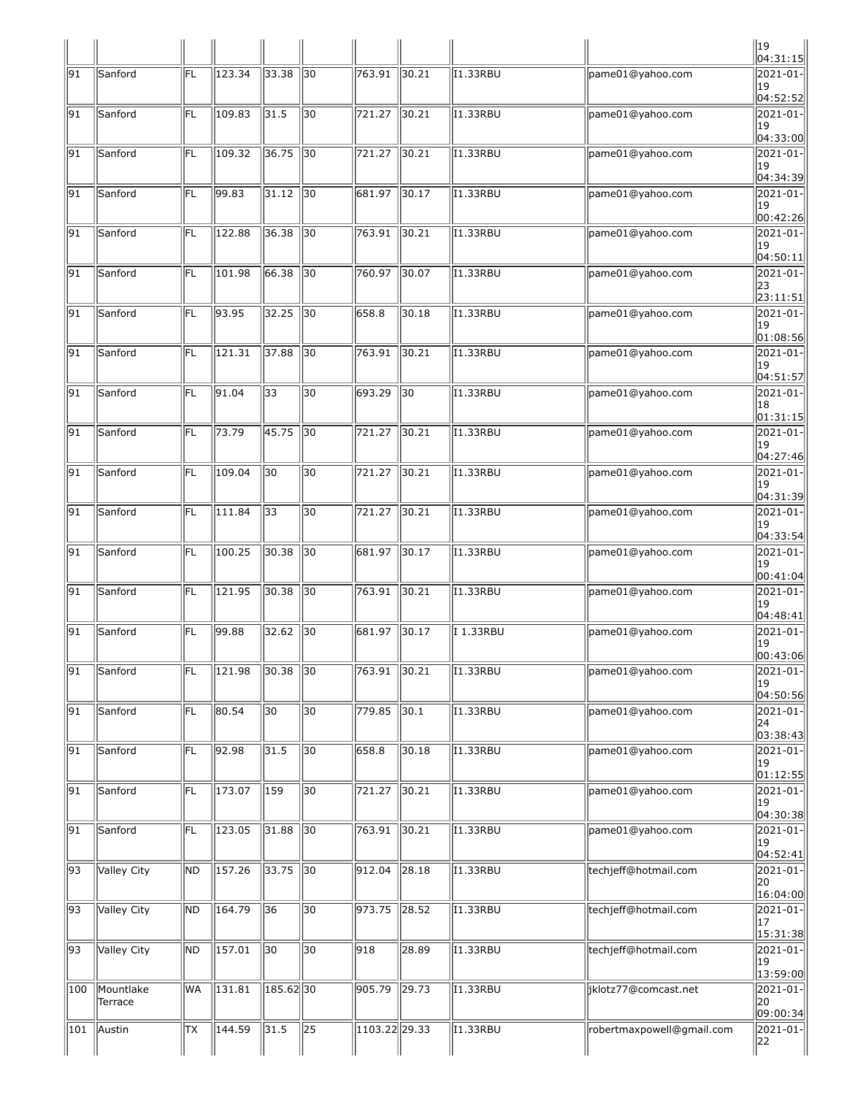|     |                      |      |                 |                  |                 |                     |                |                        |                           | $\parallel$ 19<br>04:31:15                     |
|-----|----------------------|------|-----------------|------------------|-----------------|---------------------|----------------|------------------------|---------------------------|------------------------------------------------|
| 91  | Sanford              | FL   | 123.34          | 33.38            | 30              | 763.91              | $\vert$ 30.21  | I1.33RBU               | pame01@yahoo.com          | 2021-01-<br>19<br>04:52:52                     |
| 91  | Sanford              | lfl  | 109.83          | 31.5             | 30              | 721.27              | 30.21          | I1.33RBU               | pame01@yahoo.com          | 2021-01-<br>19<br>04:33:00                     |
| 91  | Sanford              | FL   | 109.32          | 36.75            | $\sqrt{30}$     | 721.27              | 30.21          | 11.33RBU               | pame01@yahoo.com          | 2021-01-<br>19<br>04:34:39                     |
| 91  | Sanford              | FL   | 99.83           | 31.12            | $\sqrt{30}$     | 681.97              | 30.17          | II.33RBU               | pame01@yahoo.com          | 2021-01-<br>19<br>00:42:26                     |
| 91  | Sanford              | lfL. | 122.88          | 36.38            | $\parallel$ 30  | 763.91              | $\vert$ 30.21  | 11.33RBU               | pame01@yahoo.com          | 2021-01-<br>19<br>04:50:11                     |
| 91  | Sanford              | FL   | 101.98          | 66.38            | $\sqrt{30}$     | 760.97              | 30.07          | 11.33RBU               | pame01@yahoo.com          | 2021-01-<br>23<br>23:11:51                     |
| 91  | Sanford              | FL   | 93.95           | 32.25            | $\sqrt{30}$     | 658.8               | 30.18          | I1.33RBU               | pame01@yahoo.com          | 2021-01-<br>19<br>01:08:56                     |
| 91  | Sanford              | FL   | 121.31          | 37.88            | 30              | 763.91              | $\vert$ 30.21  | I1.33RBU               | pame01@yahoo.com          | 2021-01-<br>19<br> 04:51:57                    |
| 91  | Sanford              | FL   | 91.04           | $\overline{33}$  | 130             | 693.29              | $\sqrt{30}$    | 11.33RBU               | pame01@yahoo.com          | 2021-01-<br>18<br>01:31:15                     |
| 91  | Sanford              | lfL. | 73.79           | 45.75            | $\sqrt{30}$     | 721.27              | 30.21          | I1.33RBU               | pame01@yahoo.com          | 2021-01-<br>19<br>04:27:46                     |
| 91  | Sanford              | FL   | 109.04          | 30               | $\overline{30}$ | 721.27              | 30.21          | <b>I1.33RBU</b>        | pame01@yahoo.com          | 2021-01-<br>19<br>04:31:39                     |
| 91  | Sanford              | FL   | 111.84          | 33               | 30              | 721.27              | 30.21          | I1.33RBU               | pame01@yahoo.com          | 2021-01-<br>19<br>04:33:54                     |
| 91  | Sanford              | FL   | 100.25          | 30.38            | 30              | 681.97              | $\vert$ 30.17  | $\overline{11}$ .33RBU | pame01@yahoo.com          | 2021-01-<br>19<br>00:41:04                     |
| 91  | Sanford              | FL   | 121.95          | 30.38            | $\parallel$ 30  | $\overline{763.91}$ | 30.21          | II.33RBU               | pame01@yahoo.com          | 2021-01-<br> 19<br>04:48:41                    |
| 91  | Sanford              | FL   | 99.88           | 32.62            | $\sqrt{30}$     | 681.97              | 30.17          | I 1.33RBU              | pame01@yahoo.com          | 2021-01-<br> 19<br> 00:43:06                   |
| 91  | Sanford              | FL   | 121.98          | $30.38$ 30       |                 | 763.91 30.21        |                | I1.33RBU               | pame01@yahoo.com          | $ 2021 - 01 -$<br>19<br> 04:50:56              |
| 91  | Sanford              | FL   | 80.54           | $\overline{30}$  | 30              | 779.85              | 30.1           | I1.33RBU               | pame01@yahoo.com          | $ 2021 - 01 -$<br>24<br>03:38:43               |
| 91  | Sanford              | FL   | 92.98           | 31.5             | 30              | 658.8               | 30.18          | I1.33RBU               | pame01@yahoo.com          | 2021-01-<br> 19<br>01:12:55                    |
| 91  | Sanford              | FL   | $\sqrt{173.07}$ | $\overline{159}$ | $\overline{30}$ | 721.27              | 30.21          | <b>I1.33RBU</b>        | pame01@yahoo.com          | $2021 - 01$<br> 19<br>04:30:38                 |
| 91  | Sanford              | FL   | 123.05          | 31.88            | $\sqrt{30}$     | 763.91              | 30.21          | I1.33RBU               | pame01@yahoo.com          | $ 2021 - 01 -$<br>19<br>04:52:41               |
| 93  | <b>Valley City</b>   | ND.  | 157.26          | 33.75            | $\sqrt{30}$     | 912.04              | $\sqrt{28.18}$ | 11.33RBU               | techjeff@hotmail.com      | 2021-01-<br>20<br>16:04:00                     |
| 93  | Valley City          | ND   | 164.79          | 36               | 30              | 973.75              | $\vert$ 28.52  | I1.33RBU               | techjeff@hotmail.com      | $ 2021 - 01 -$<br>17<br>$\vert 15:31:38 \vert$ |
| 93  | <b>Valley City</b>   | ND   | 157.01          | $\overline{30}$  | $\overline{30}$ | 918                 | 28.89          | I1.33RBU               | techjeff@hotmail.com      | $ 2021 - 01 -$<br>19<br>13:59:00               |
| 100 | Mountlake<br>Terrace | WA   | $\sqrt{131.81}$ | $185.62$ 30      |                 | 905.79              | $\sqrt{29.73}$ | I1.33RBU               | jklotz77@comcast.net      | $2021 - 01$<br> 20<br>09:00:34                 |
| 101 | Austin               | TХ   | 144.59          | $\sqrt{31.5}$    | $\sqrt{25}$     | 1103.22 29.33       |                | 11.33RBU               | robertmaxpowell@gmail.com | $ 2021 - 01 -$<br>22                           |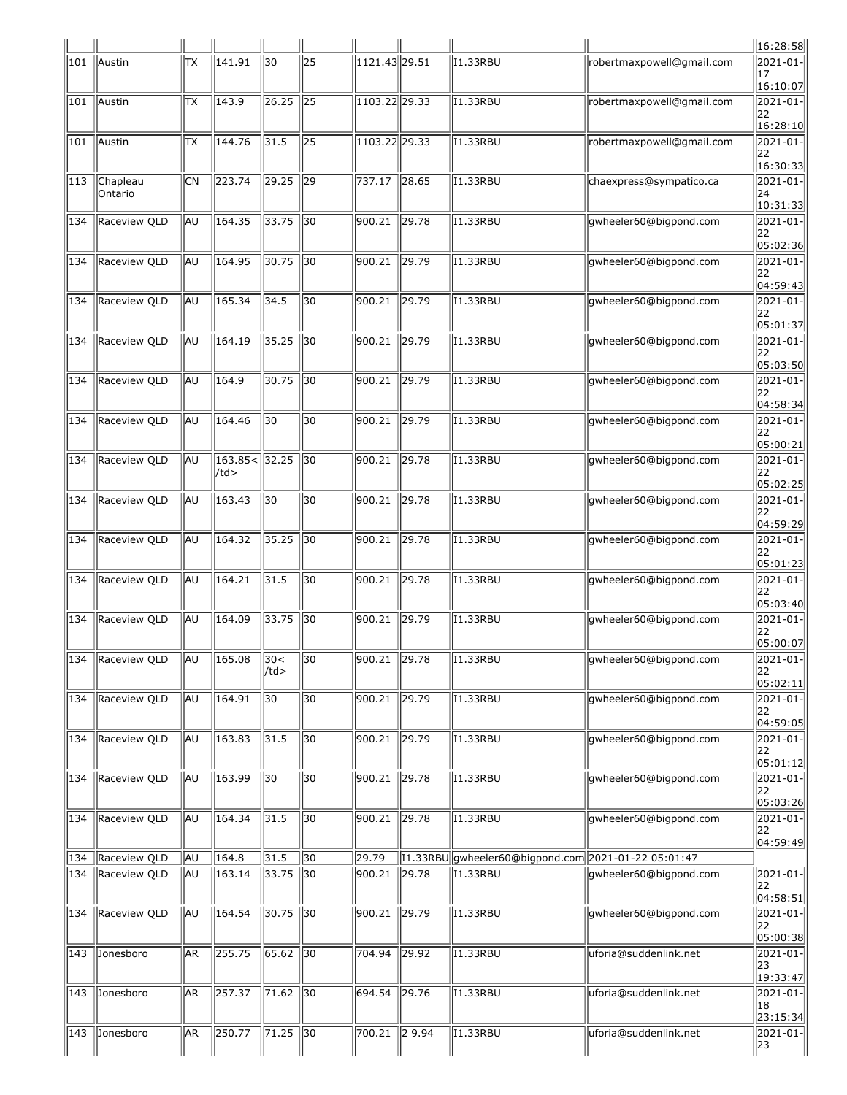|            |                              |                  |                          |                   |                               |                            |                |                                                                 |                           | 16:28:58                           |
|------------|------------------------------|------------------|--------------------------|-------------------|-------------------------------|----------------------------|----------------|-----------------------------------------------------------------|---------------------------|------------------------------------|
| 101        | Austin                       | ТX               | 141.91                   | 30                | $\overline{25}$               | $1121.43$ <sub>29.51</sub> |                | I1.33RBU                                                        | robertmaxpowell@gmail.com | 2021-01-<br>17<br>16:10:07         |
| 101        | Austin                       | ΙTΧ              | 143.9                    | 26.25             | $\sqrt{25}$                   | 1103.22 29.33              |                | I1.33RBU                                                        | robertmaxpowell@gmail.com | 2021-01-<br>22<br>16:28:10         |
| 101        | Austin                       | ТX               | 144.76                   | 31.5              | 25                            | 1103.22 29.33              |                | I1.33RBU                                                        | robertmaxpowell@gmail.com | 2021-01-<br>22                     |
| 113        | Chapleau<br><b>Ontario</b>   | <b>CN</b>        | 223.74                   | 29.25             | 29                            | 737.17                     | 28.65          | 11.33RBU                                                        | chaexpress@sympatico.ca   | 16:30:33 <br>2021-01-<br>24        |
| 134        | Raceview QLD                 | <b>AU</b>        | 164.35                   | 33.75             | $\sqrt{30}$                   | 900.21                     | 29.78          | I1.33RBU                                                        | gwheeler60@bigpond.com    | 10:31:33 <br>$2021 - 01$<br>22     |
| 134        | Raceview QLD                 | <b>JAU</b>       | 164.95                   | 30.75             | $\sqrt{30}$                   | 900.21                     | 29.79          | I1.33RBU                                                        | gwheeler60@bigpond.com    | 05:02:36 <br>2021-01-<br> 22       |
| 134        | Raceview QLD                 | <b>AU</b>        | 165.34                   | 34.5              | 30                            | 900.21                     | 29.79          | $\overline{11}$ .33RBU                                          | gwheeler60@bigpond.com    | 04:59:43 <br>2021-01-<br>22        |
| 134        | Raceview QLD                 | <b>AU</b>        | 164.19                   | 35.25             | $\parallel$ 30                | 900.21                     | 29.79          | I1.33RBU                                                        | gwheeler60@bigpond.com    | 05:01:37<br>2021-01-<br>22         |
| 134        | Raceview QLD                 | lau              | 164.9                    | 30.75             | $\overline{30}$               | $\frac{1}{900.21}$         | $\sqrt{29.79}$ | 11.33RBU                                                        | gwheeler60@bigpond.com    | 05:03:50 <br>2021-01-<br>22        |
| 134        | Raceview QLD                 | <b>AU</b>        | 164.46                   | $\overline{30}$   | $\overline{30}$               | 900.21                     | 29.79          | <b>I1.33RBU</b>                                                 | gwheeler60@bigpond.com    | 04:58:34 <br>2021-01-<br>22        |
| 134        | Raceview QLD                 | <b>AU</b>        | $163.85 <$ 32.25<br>/td> |                   | 130                           | 900.21                     | 29.78          | I1.33RBU                                                        | gwheeler60@bigpond.com    | 05:00:21<br>2021-01-<br>22         |
| 134        | Raceview QLD                 | <b>AU</b>        | 163.43                   | 30                | 30                            | 900.21                     | 29.78          | $\overline{11}$ .33RBU                                          | gwheeler60@bigpond.com    | 05:02:25 <br>2021-01-<br>22        |
| 134        | Raceview QLD                 | <b>AU</b>        | 164.32                   | 35.25             | $\parallel$ 30                | 900.21                     | 29.78          | I1.33RBU                                                        | gwheeler60@bigpond.com    | 04:59:29 <br>2021-01-<br>22        |
| 134        | Raceview QLD                 | lau              | 164.21                   | $\sqrt{31.5}$     | 30                            | 900.21                     | 29.78          | 11.33RBU                                                        | gwheeler60@bigpond.com    | 05:01:23<br>2021-01-<br>22         |
| 134        | Raceview QLD                 | <b>AU</b>        | 164.09                   | 33.75             | $\sqrt{30}$                   | 900.21                     | 29.79          | <b>I1.33RBU</b>                                                 | gwheeler60@bigpond.com    | 05:03:40 <br>$2021 - 01 -$         |
|            | 134 Raceview QLD             |                  | $\sqrt{AU}$ 165.08 30<   |                   | $\sqrt{30}$                   | $900.21$ 29.78             |                | <b>I1.33RBU</b>                                                 | gwheeler60@bigpond.com    | 22<br> 05:00:07 <br>2021-01-       |
| 134        | Raceview QLD                 | <b>AU</b>        | 164.91                   | $ $ /td><br>  30  | 30                            | 900.21                     | 29.79          | I1.33RBU                                                        | gwheeler60@bigpond.com    | 22<br> 05:02:11 <br>2021-01-       |
| 134        | Raceview QLD                 | <b>AU</b>        | 163.83                   | 31.5              | $\overline{30}$               | 900.21                     | 29.79          | I1.33RBU                                                        | gwheeler60@bigpond.com    | 22<br> 04:59:05 <br>$ 2021 - 01 -$ |
| 134        | Raceview QLD                 | <b>JAU</b>       | 163.99                   | 30                | $\overline{30}$               | 900.21                     | 29.78          | 11.33RBU                                                        | gwheeler60@bigpond.com    | 22<br>05:01:12<br>$ 2021 - 01 -$   |
| 134        | Raceview QLD                 | ∣la∪             | 164.34                   | $\vert$ 31.5      | 30                            | 900.21                     | 29.78          | I1.33RBU                                                        | gwheeler60@bigpond.com    | 22<br>05:03:26<br>$ 2021 - 01 -$   |
|            |                              |                  |                          |                   |                               |                            |                |                                                                 |                           | 22<br> 04:59:49                    |
| 134<br>134 | Raceview QLD<br>Raceview QLD | AU<br><b>JAU</b> | 164.8<br>163.14          | 31.5<br>33.75     | $\sqrt{30}$<br>$\parallel$ 30 | 29.79<br>900.21            | 29.78          | [1.33RBU gwheeler60@bigpond.com 2021-01-22 05:01:47<br>I1.33RBU | gwheeler60@bigpond.com    | 2021-01-<br>22                     |
| 134        | Raceview QLD                 | <b>AU</b>        | 164.54                   | 30.75             | $\sqrt{30}$                   | 900.21                     | 29.79          | 11.33RBU                                                        | gwheeler60@bigpond.com    | 04:58:51<br>2021-01-<br>22         |
| 143        | Jonesboro                    | AR.              | 255.75                   | $65.62$ 30        |                               | 704.94                     | 29.92          | 11.33RBU                                                        | uforia@suddenlink.net     | 05:00:38 <br>$ 2021 - 01 -$<br>23  |
| 143        | Jonesboro                    | AR               | 257.37                   | 71.62   30        |                               | 694.54                     | 29.76          | I1.33RBU                                                        | uforia@suddenlink.net     | 19:33:47<br>$ 2021 - 01 -$<br>18   |
| 143        | Jonesboro                    | AR               | 250.77                   | $\sqrt{71.25}$ 30 |                               | 700.21                     | 29.94          | <b>I1.33RBU</b>                                                 | uforia@suddenlink.net     | 23:15:34<br>$2021 - 01$<br>23      |